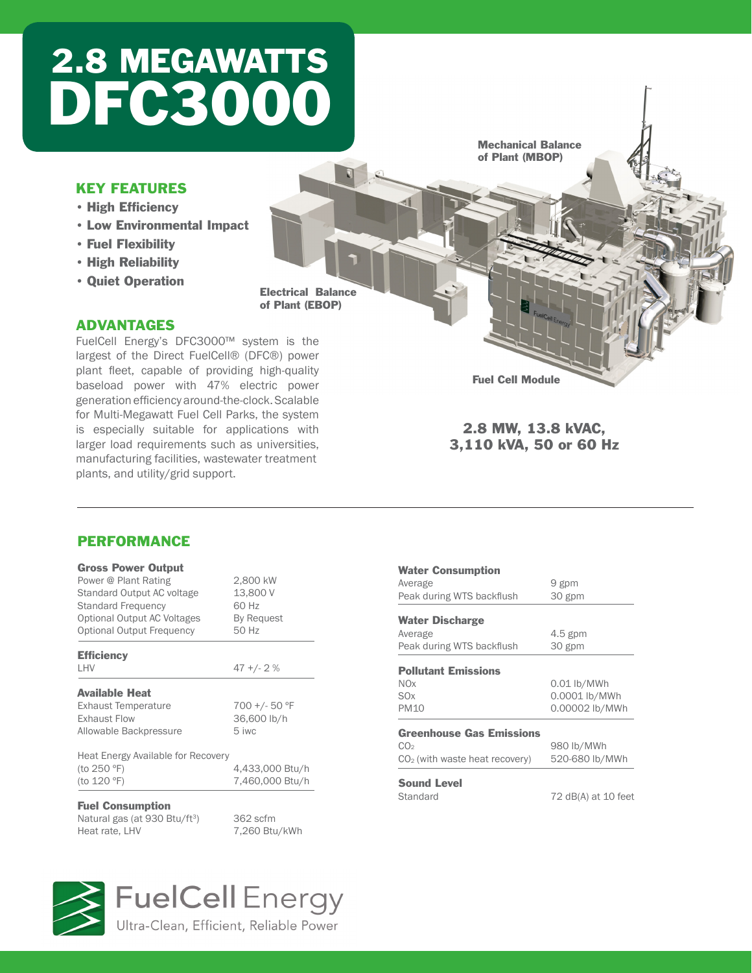## 2.8 MEGAWATTS DFC3000

Mechanical Balance of Plant (MBOP)

### KEY FEATURES

- High Efficiency
- • Low Environmental Impact
- • Fuel Flexibility
- • High Reliability
- • Quiet Operation

Electrical Balance of Plant (EBOP)

### ADVANTAGES

FuelCell Energy's DFC3000™ system is the largest of the Direct FuelCell® (DFC®) power plant fleet, capable of providing high-quality baseload power with 47% electric power generation efficiency around-the-clock. Scalable for Multi-Megawatt Fuel Cell Parks, the system is especially suitable for applications with larger load requirements such as universities, manufacturing facilities, wastewater treatment plants, and utility/grid support.

Fuel Cell Module

#### 2.8 MW, 13.8 kVAC, 3,110 kVA, 50 or 60 Hz

### PERFORMANCE

| <b>Gross Power Output</b>          |                 |
|------------------------------------|-----------------|
| Power @ Plant Rating               | 2,800 kW        |
| Standard Output AC voltage         | 13,800 V        |
| <b>Standard Frequency</b>          | 60 Hz           |
| Optional Output AC Voltages        | By Request      |
| Optional Output Frequency          | 50 Hz           |
| <b>Efficiency</b>                  |                 |
| <b>I HV</b>                        | $47 + (-2)$     |
| <b>Available Heat</b>              |                 |
| <b>Exhaust Temperature</b>         | 700 +/- 50 °F   |
| <b>Exhaust Flow</b>                | 36,600 lb/h     |
| Allowable Backpressure             | 5 iwc           |
| Heat Energy Available for Recovery |                 |
| (to 250 °F)                        | 4,433,000 Btu/h |
| (to 120 °F)                        | 7,460,000 Btu/h |
| <b>Fuel Consumption</b>            |                 |

Natural gas (at 930 Btu/ft<sup>3</sup>) 362 scfm<br>Heat rate. LHV 7.260 Btu

7,260 Btu/kWh





## **FuelCell** Energy

Ultra-Clean, Efficient, Reliable Power